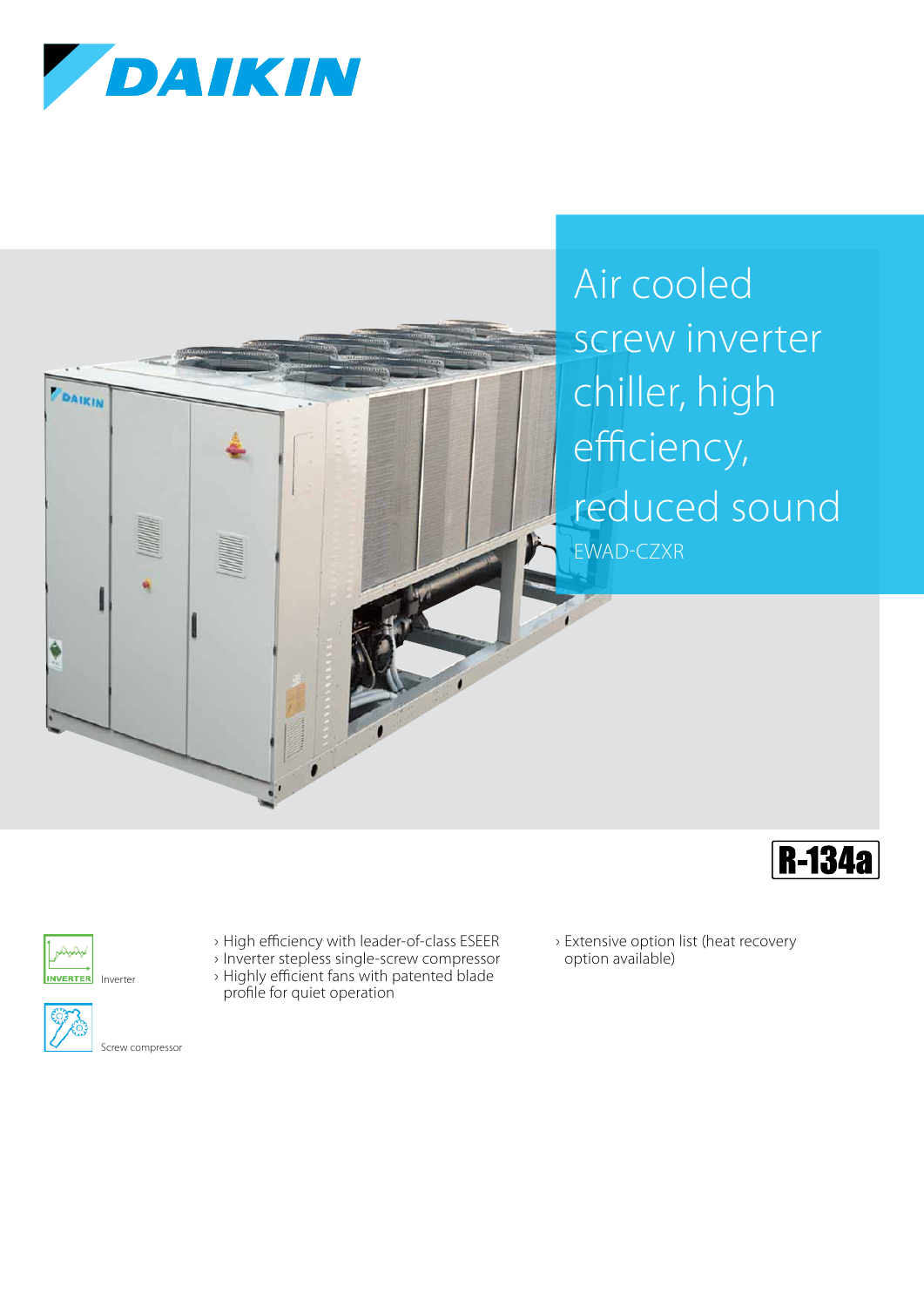







INVERTER Inverter



Screw compressor

- › High efficiency with leader-of-class ESEER › Inverter stepless single-screw compressor
- › Highly efficient fans with patented blade profile for quiet operation
- › Extensive option list (heat recovery option available)